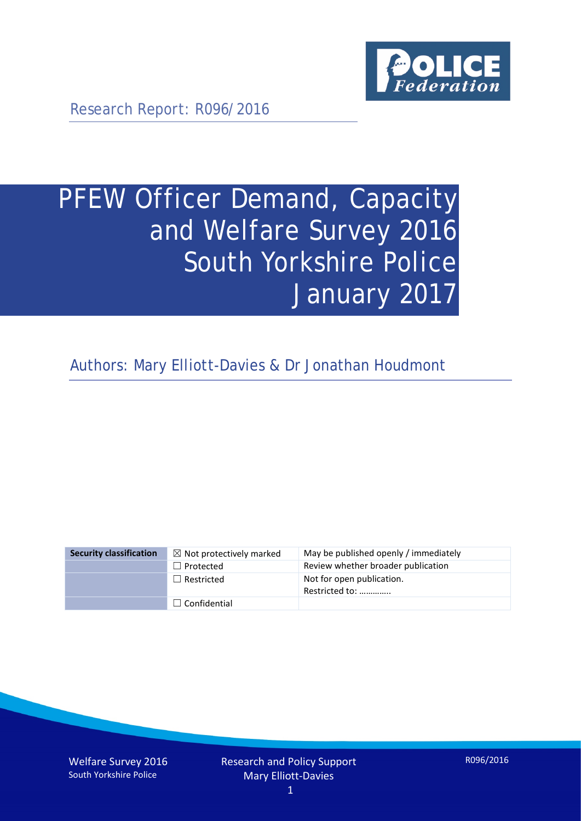

Research Report: R096/2016

# PFEW Officer Demand, Capacity and Welfare Survey 2016 South Yorkshire Police January 2017

Authors: Mary Elliott-Davies & Dr Jonathan Houdmont

| <b>Security classification</b> | $\boxtimes$ Not protectively marked | May be published openly / immediately       |
|--------------------------------|-------------------------------------|---------------------------------------------|
|                                | $\Box$ Protected                    | Review whether broader publication          |
|                                | $\Box$ Restricted                   | Not for open publication.<br>Restricted to: |
|                                | $\Box$ Confidential                 |                                             |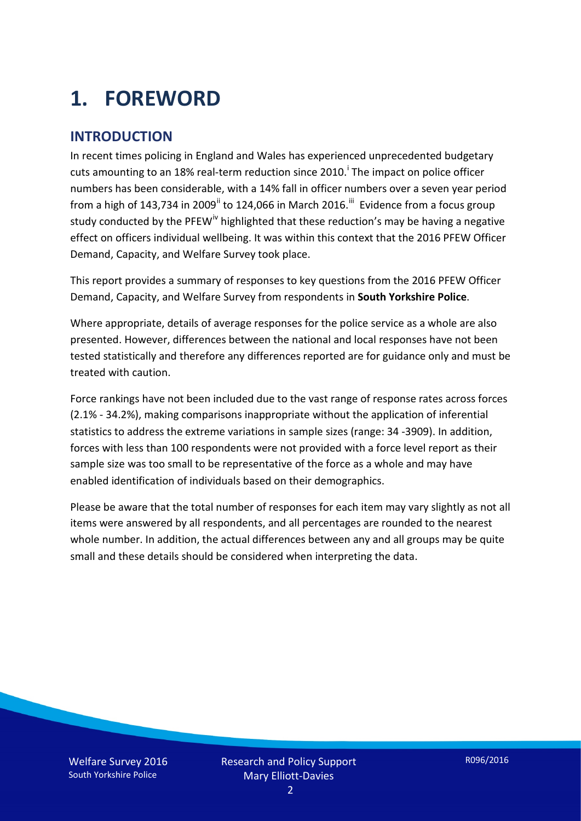# **1. FOREWORD**

#### **INTRODUCTION**

In recent times policing in England and Wales has experienced unprecedented budgetary cuts amount[i](#page-15-0)ng to an 18% real-term reduction since 2010.<sup>1</sup> The impact on police officer numbers has been considerable, with a 14% fall in officer numbers over a seven year period from a high of 143,734 in 2009<sup>[ii](#page-15-1)</sup> to 124,066 in March 2016.<sup>[iii](#page-15-2)</sup> Evidence from a focus group study conducted by the PFEW<sup>[iv](#page-15-3)</sup> highlighted that these reduction's may be having a negative effect on officers individual wellbeing. It was within this context that the 2016 PFEW Officer Demand, Capacity, and Welfare Survey took place.

This report provides a summary of responses to key questions from the 2016 PFEW Officer Demand, Capacity, and Welfare Survey from respondents in **South Yorkshire Police**.

Where appropriate, details of average responses for the police service as a whole are also presented. However, differences between the national and local responses have not been tested statistically and therefore any differences reported are for guidance only and must be treated with caution.

Force rankings have not been included due to the vast range of response rates across forces (2.1% - 34.2%), making comparisons inappropriate without the application of inferential statistics to address the extreme variations in sample sizes (range: 34 -3909). In addition, forces with less than 100 respondents were not provided with a force level report as their sample size was too small to be representative of the force as a whole and may have enabled identification of individuals based on their demographics.

Please be aware that the total number of responses for each item may vary slightly as not all items were answered by all respondents, and all percentages are rounded to the nearest whole number. In addition, the actual differences between any and all groups may be quite small and these details should be considered when interpreting the data.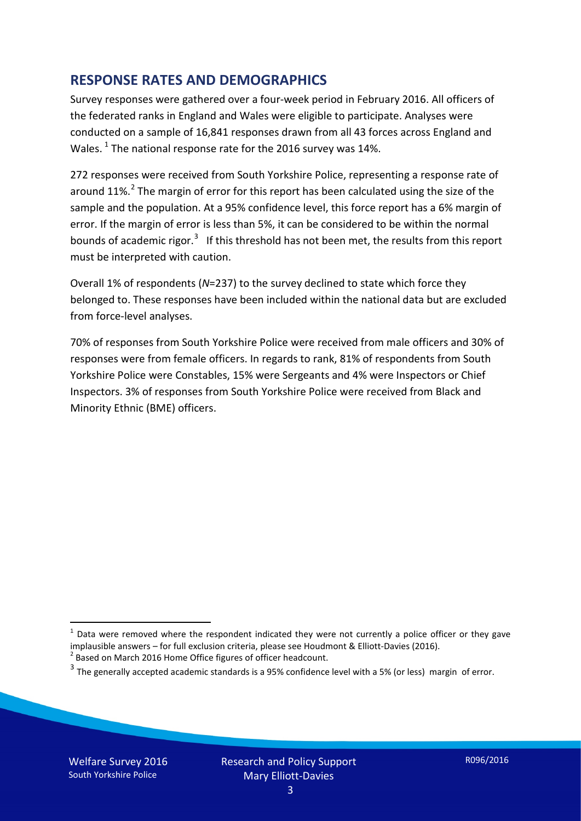#### **RESPONSE RATES AND DEMOGRAPHICS**

Survey responses were gathered over a four-week period in February 2016. All officers of the federated ranks in England and Wales were eligible to participate. Analyses were conducted on a sample of 16,841 responses drawn from all 43 forces across England and Wales.  $^1$  $^1$  The national response rate for the 2016 survey was 14%.

272 responses were received from South Yorkshire Police, representing a response rate of around 11%.<sup>[2](#page-2-1)</sup> The margin of error for this report has been calculated using the size of the sample and the population. At a 95% confidence level, this force report has a 6% margin of error. If the margin of error is less than 5%, it can be considered to be within the normal bounds of academic rigor.<sup>[3](#page-2-2)</sup> If this threshold has not been met, the results from this report must be interpreted with caution.

Overall 1% of respondents (*N*=237) to the survey declined to state which force they belonged to. These responses have been included within the national data but are excluded from force-level analyses.

70% of responses from South Yorkshire Police were received from male officers and 30% of responses were from female officers. In regards to rank, 81% of respondents from South Yorkshire Police were Constables, 15% were Sergeants and 4% were Inspectors or Chief Inspectors. 3% of responses from South Yorkshire Police were received from Black and Minority Ethnic (BME) officers.

-

<span id="page-2-0"></span> $1$  Data were removed where the respondent indicated they were not currently a police officer or they gave implausible answers – for full exclusion criteria, please see Houdmont & Elliott-Davies (2016).<br><sup>2</sup> Based on March 2016 Home Office figures of officer headcount.

<span id="page-2-1"></span>

<span id="page-2-2"></span> $3$  The generally accepted academic standards is a 95% confidence level with a 5% (or less) margin of error.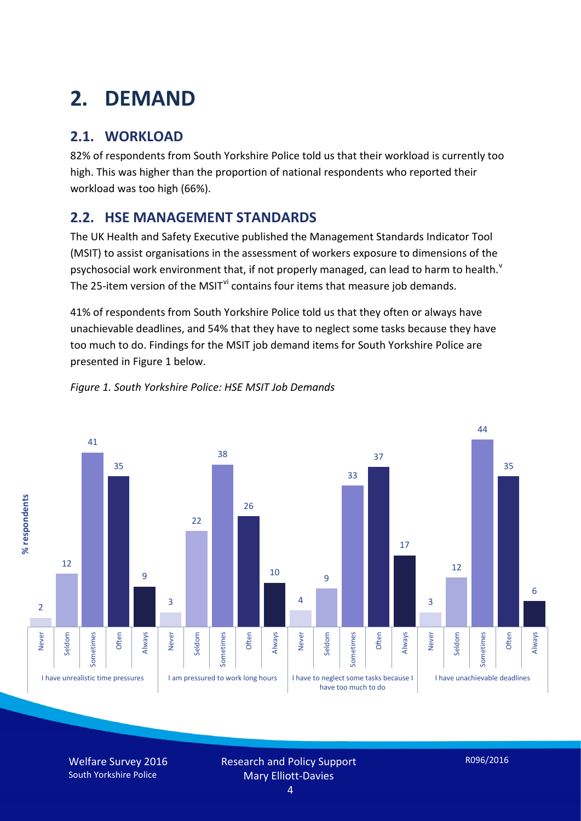# **2. DEMAND**

### **2.1. WORKLOAD**

82% of respondents from South Yorkshire Police told us that their workload is currently too high. This was higher than the proportion of national respondents who reported their workload was too high (66%).

#### **2.2. HSE MANAGEMENT STANDARDS**

The UK Health and Safety Executive published the Management Standards Indicator Tool (MSIT) to assist organisations in the assessment of workers exposure to dimensions of the psychosocial work en[v](#page-15-4)ironment that, if not properly managed, can lead to harm to health.<sup>v</sup> The 25-item version of the MSIT<sup>[vi](#page-15-5)</sup> contains four items that measure job demands.

41% of respondents from South Yorkshire Police told us that they often or always have unachievable deadlines, and 54% that they have to neglect some tasks because they have too much to do. Findings for the MSIT job demand items for South Yorkshire Police are presented in Figure 1 below.



#### *Figure 1. South Yorkshire Police: HSE MSIT Job Demands*

Welfare Survey 2016 South Yorkshire Police

Research and Policy Support Mary Elliott-Davies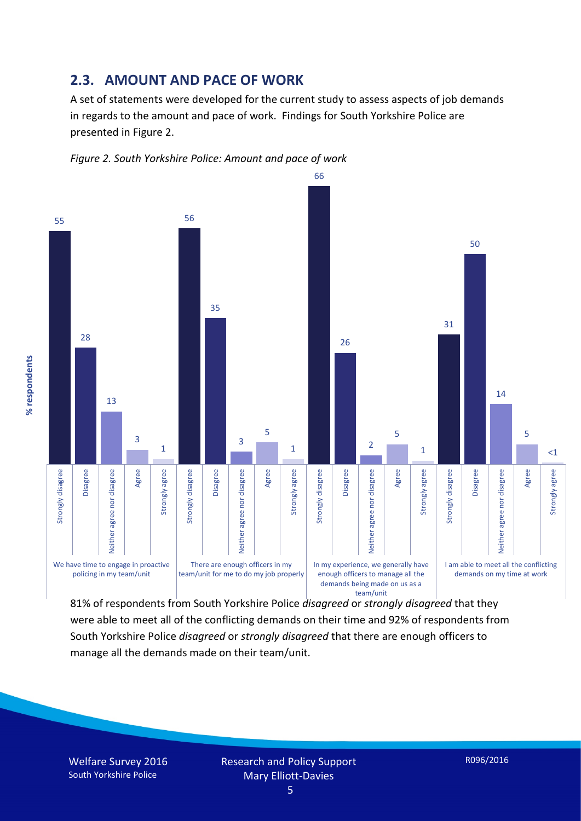#### **2.3. AMOUNT AND PACE OF WORK**

A set of statements were developed for the current study to assess aspects of job demands in regards to the amount and pace of work. Findings for South Yorkshire Police are presented in Figure 2.





81% of respondents from South Yorkshire Police *disagreed* or *strongly disagreed* that they were able to meet all of the conflicting demands on their time and 92% of respondents from South Yorkshire Police *disagreed* or *strongly disagreed* that there are enough officers to manage all the demands made on their team/unit.

Welfare Survey 2016 South Yorkshire Police

% respondents **% respondents**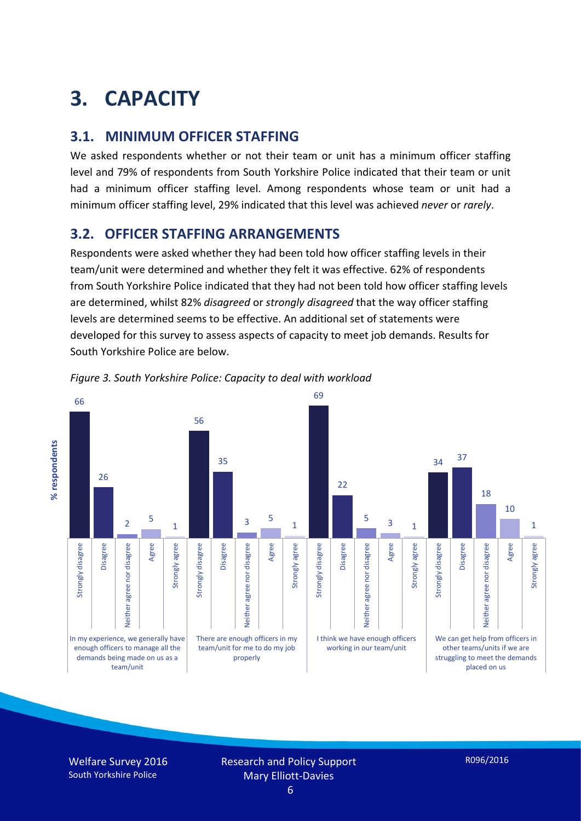# **3. CAPACITY**

#### **3.1. MINIMUM OFFICER STAFFING**

We asked respondents whether or not their team or unit has a minimum officer staffing level and 79% of respondents from South Yorkshire Police indicated that their team or unit had a minimum officer staffing level. Among respondents whose team or unit had a minimum officer staffing level, 29% indicated that this level was achieved *never* or *rarely*.

#### **3.2. OFFICER STAFFING ARRANGEMENTS**

Respondents were asked whether they had been told how officer staffing levels in their team/unit were determined and whether they felt it was effective. 62% of respondents from South Yorkshire Police indicated that they had not been told how officer staffing levels are determined, whilst 82% *disagreed* or *strongly disagreed* that the way officer staffing levels are determined seems to be effective. An additional set of statements were developed for this survey to assess aspects of capacity to meet job demands. Results for South Yorkshire Police are below.



*Figure 3. South Yorkshire Police: Capacity to deal with workload*

Welfare Survey 2016 South Yorkshire Police

Research and Policy Support Mary Elliott-Davies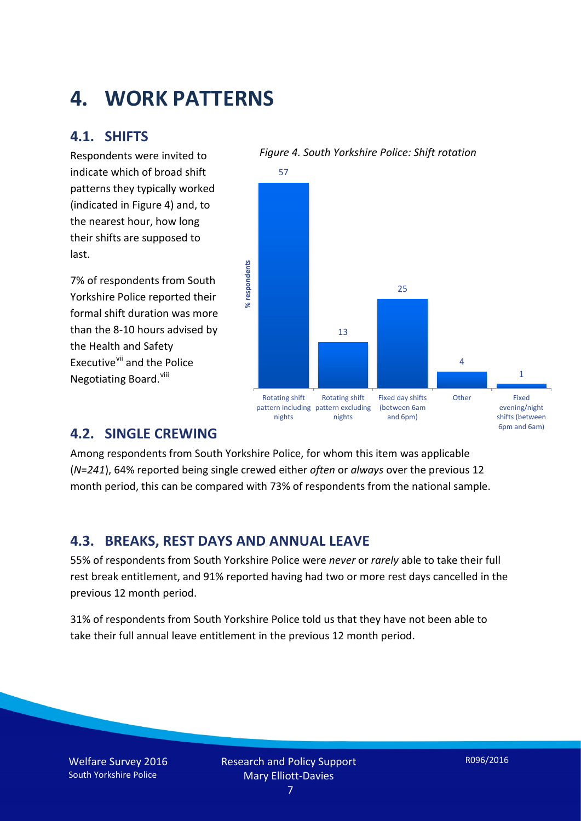## **4. WORK PATTERNS**

#### **4.1. SHIFTS**

Respondents were invited to indicate which of broad shift patterns they typically worked (indicated in Figure 4) and, to the nearest hour, how long their shifts are supposed to last.

7% of respondents from South Yorkshire Police reported their formal shift duration was more than the 8-10 hours advised by the Health and Safety Executive<sup>[vii](#page-15-6)</sup> and the Police Negotiating Board.<sup>[viii](#page-15-7)</sup>



#### *Figure 4. South Yorkshire Police: Shift rotation*

#### **4.2. SINGLE CREWING**

Among respondents from South Yorkshire Police, for whom this item was applicable (*N*=*241*), 64% reported being single crewed either *often* or *always* over the previous 12 month period, this can be compared with 73% of respondents from the national sample.

#### **4.3. BREAKS, REST DAYS AND ANNUAL LEAVE**

55% of respondents from South Yorkshire Police were *never* or *rarely* able to take their full rest break entitlement, and 91% reported having had two or more rest days cancelled in the previous 12 month period.

31% of respondents from South Yorkshire Police told us that they have not been able to take their full annual leave entitlement in the previous 12 month period.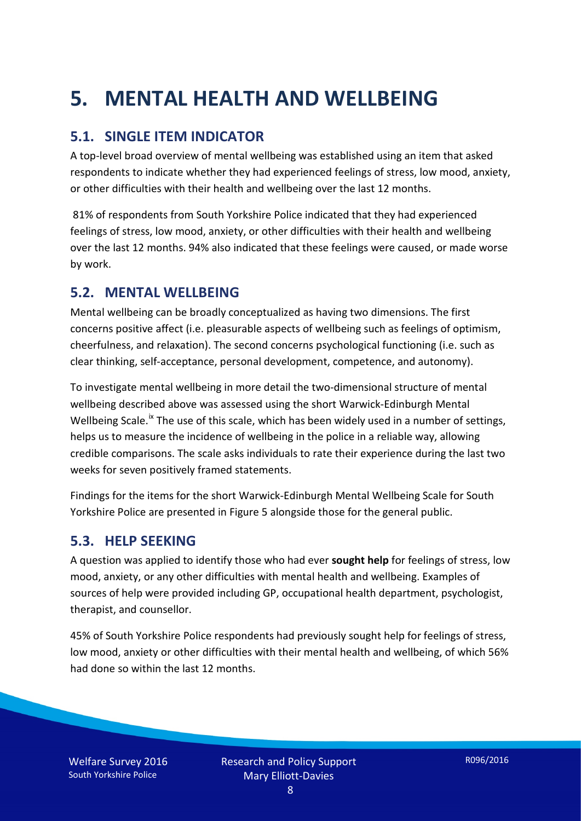# **5. MENTAL HEALTH AND WELLBEING**

#### **5.1. SINGLE ITEM INDICATOR**

A top-level broad overview of mental wellbeing was established using an item that asked respondents to indicate whether they had experienced feelings of stress, low mood, anxiety, or other difficulties with their health and wellbeing over the last 12 months.

81% of respondents from South Yorkshire Police indicated that they had experienced feelings of stress, low mood, anxiety, or other difficulties with their health and wellbeing over the last 12 months. 94% also indicated that these feelings were caused, or made worse by work.

#### **5.2. MENTAL WELLBEING**

Mental wellbeing can be broadly conceptualized as having two dimensions. The first concerns positive affect (i.e. pleasurable aspects of wellbeing such as feelings of optimism, cheerfulness, and relaxation). The second concerns psychological functioning (i.e. such as clear thinking, self-acceptance, personal development, competence, and autonomy).

To investigate mental wellbeing in more detail the two-dimensional structure of mental wellbeing described above was assessed using the short Warwick-Edinburgh Mental Wellbeing Scale.<sup>[ix](#page-15-8)</sup> The use of this scale, which has been widely used in a number of settings, helps us to measure the incidence of wellbeing in the police in a reliable way, allowing credible comparisons. The scale asks individuals to rate their experience during the last two weeks for seven positively framed statements.

Findings for the items for the short Warwick-Edinburgh Mental Wellbeing Scale for South Yorkshire Police are presented in Figure 5 alongside those for the general public.

#### **5.3. HELP SEEKING**

A question was applied to identify those who had ever **sought help** for feelings of stress, low mood, anxiety, or any other difficulties with mental health and wellbeing. Examples of sources of help were provided including GP, occupational health department, psychologist, therapist, and counsellor.

45% of South Yorkshire Police respondents had previously sought help for feelings of stress, low mood, anxiety or other difficulties with their mental health and wellbeing, of which 56% had done so within the last 12 months.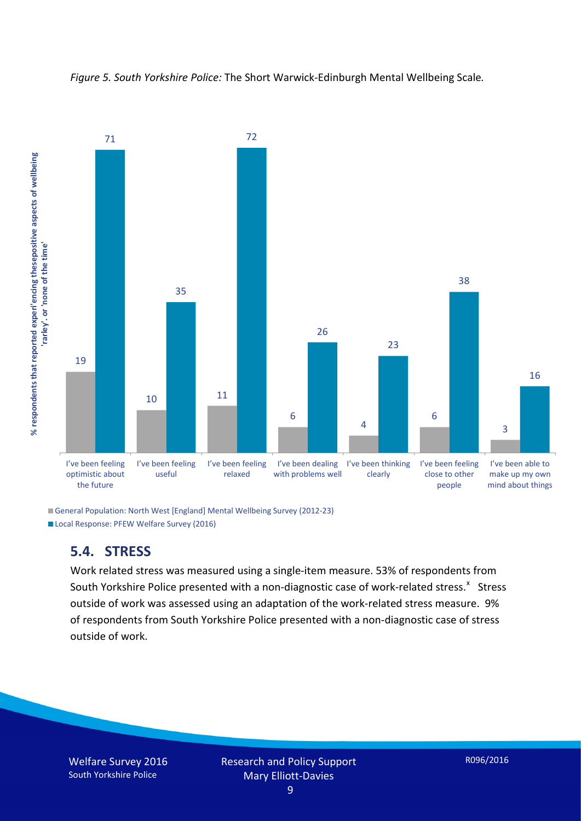



General Population: North West [England] Mental Wellbeing Survey (2012-23) Local Response: PFEW Welfare Survey (2016)

#### **5.4. STRESS**

Work related stress was measured using a single-item measure. 53% of respondents from South Yorkshire Police presented with a non-diagnostic case of work-related stress.<sup>[x](#page-15-9)</sup> Stress outside of work was assessed using an adaptation of the work-related stress measure. 9% of respondents from South Yorkshire Police presented with a non-diagnostic case of stress outside of work.

Welfare Survey 2016 South Yorkshire Police

Research and Policy Support Mary Elliott-Davies

9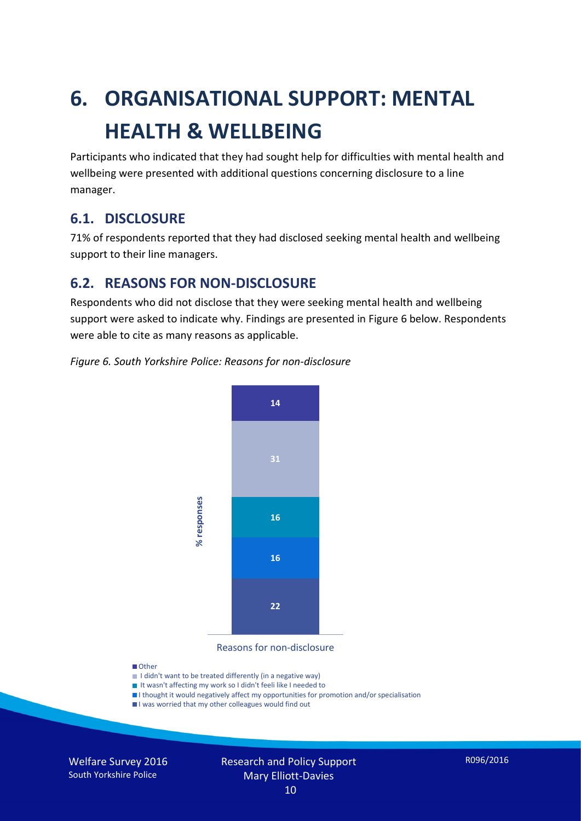# **6. ORGANISATIONAL SUPPORT: MENTAL HEALTH & WELLBEING**

Participants who indicated that they had sought help for difficulties with mental health and wellbeing were presented with additional questions concerning disclosure to a line manager.

#### **6.1. DISCLOSURE**

71% of respondents reported that they had disclosed seeking mental health and wellbeing support to their line managers.

#### **6.2. REASONS FOR NON-DISCLOSURE**

Respondents who did not disclose that they were seeking mental health and wellbeing support were asked to indicate why. Findings are presented in Figure 6 below. Respondents were able to cite as many reasons as applicable.





Reasons for non-disclosure

#### **D**Other

- I didn't want to be treated differently (in a negative way)
- I It wasn't affecting my work so I didn't feeli like I needed to
- I thought it would negatively affect my opportunities for promotion and/or specialisation
- I was worried that my other colleagues would find out

Welfare Survey 2016 South Yorkshire Police

## Research and Policy Support Mary Elliott-Davies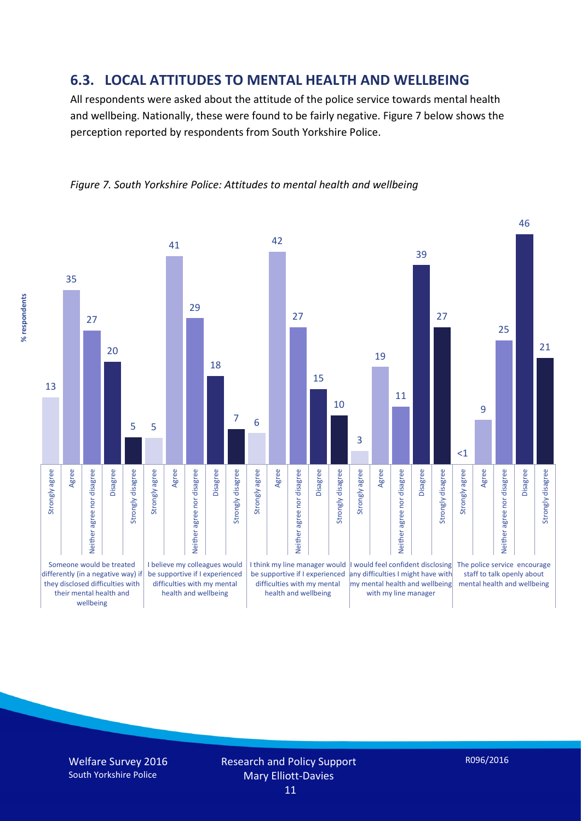#### **6.3. LOCAL ATTITUDES TO MENTAL HEALTH AND WELLBEING**

All respondents were asked about the attitude of the police service towards mental health and wellbeing. Nationally, these were found to be fairly negative. Figure 7 below shows the perception reported by respondents from South Yorkshire Police.



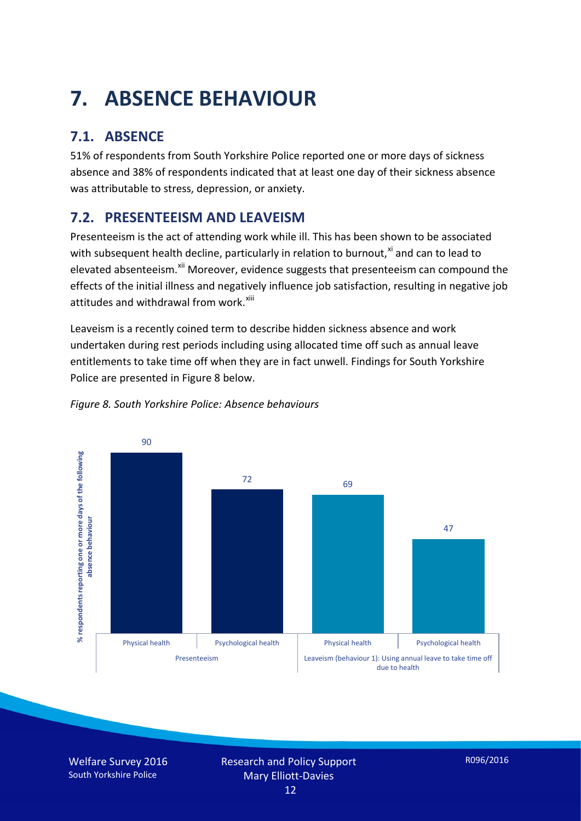# **7. ABSENCE BEHAVIOUR**

## **7.1. ABSENCE**

51% of respondents from South Yorkshire Police reported one or more days of sickness absence and 38% of respondents indicated that at least one day of their sickness absence was attributable to stress, depression, or anxiety.

### **7.2. PRESENTEEISM AND LEAVEISM**

Presenteeism is the act of attending work while ill. This has been shown to be associated with subsequent health decline, particularly in relation to burnout, $x_i$  and can to lead to elevated absenteeism.<sup>[xii](#page-16-1)</sup> Moreover, evidence suggests that presenteeism can compound the effects of the initial illness and negatively influence job satisfaction, resulting in negative job attitudes and withdrawal from work.<sup>[xiii](#page-16-2)</sup>

Leaveism is a recently coined term to describe hidden sickness absence and work undertaken during rest periods including using allocated time off such as annual leave entitlements to take time off when they are in fact unwell. Findings for South Yorkshire Police are presented in Figure 8 below.



#### *Figure 8. South Yorkshire Police: Absence behaviours*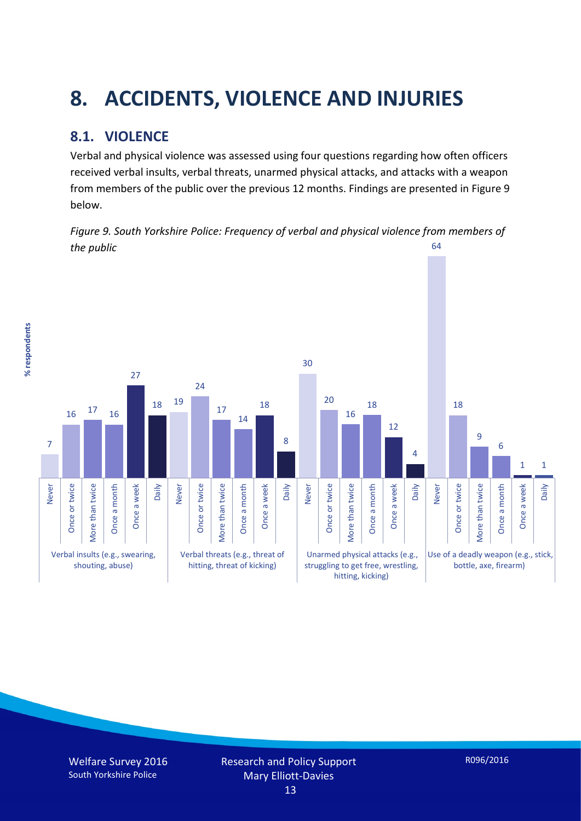# **8. ACCIDENTS, VIOLENCE AND INJURIES**

### **8.1. VIOLENCE**

% respondents **% respondents** Verbal and physical violence was assessed using four questions regarding how often officers received verbal insults, verbal threats, unarmed physical attacks, and attacks with a weapon from members of the public over the previous 12 months. Findings are presented in Figure 9 below.

*Figure 9. South Yorkshire Police: Frequency of verbal and physical violence from members of the public* 64

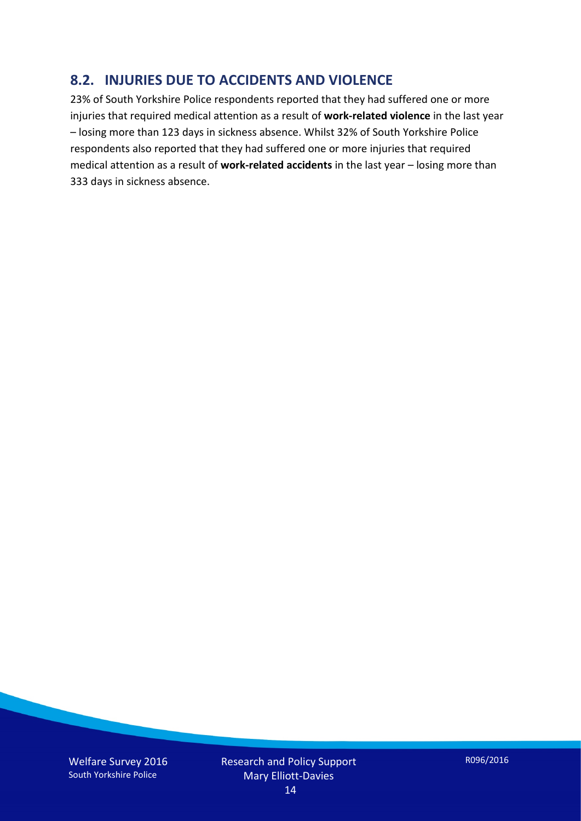#### **8.2. INJURIES DUE TO ACCIDENTS AND VIOLENCE**

23% of South Yorkshire Police respondents reported that they had suffered one or more injuries that required medical attention as a result of **work-related violence** in the last year – losing more than 123 days in sickness absence. Whilst 32% of South Yorkshire Police respondents also reported that they had suffered one or more injuries that required medical attention as a result of **work-related accidents** in the last year – losing more than 333 days in sickness absence.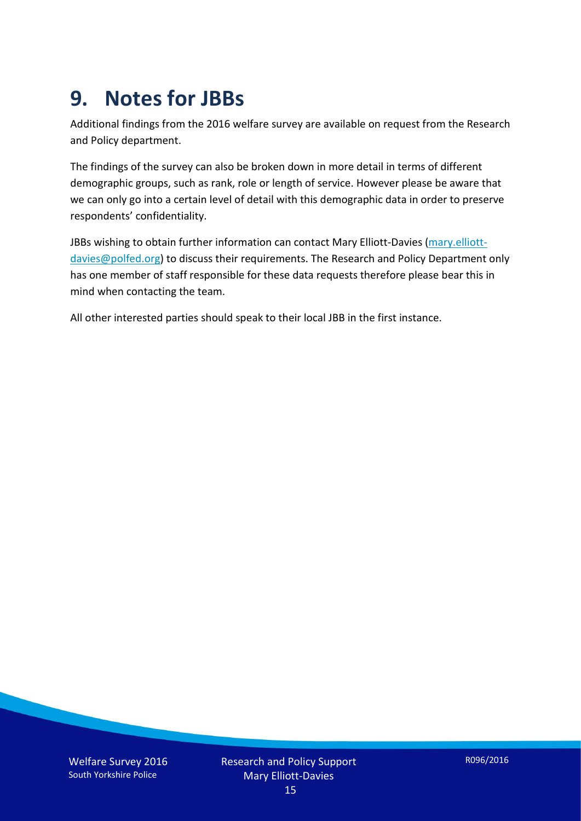## **9. Notes for JBBs**

Additional findings from the 2016 welfare survey are available on request from the Research and Policy department.

The findings of the survey can also be broken down in more detail in terms of different demographic groups, such as rank, role or length of service. However please be aware that we can only go into a certain level of detail with this demographic data in order to preserve respondents' confidentiality.

JBBs wishing to obtain further information can contact Mary Elliott-Davies [\(mary.elliott](mailto:mary.elliott-davies@polfed.org)[davies@polfed.org\)](mailto:mary.elliott-davies@polfed.org) to discuss their requirements. The Research and Policy Department only has one member of staff responsible for these data requests therefore please bear this in mind when contacting the team.

All other interested parties should speak to their local JBB in the first instance.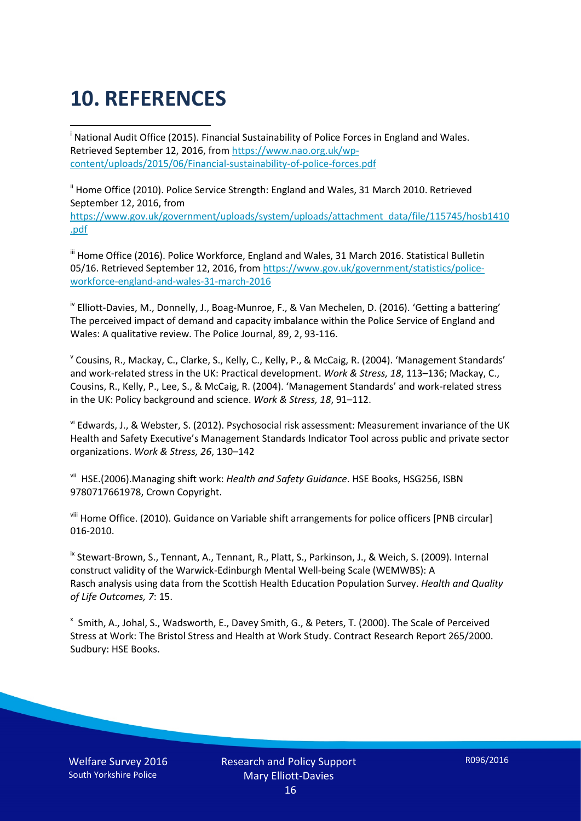# **10. REFERENCES**

<span id="page-15-0"></span>i National Audit Office (2015). Financial Sustainability of Police Forces in England and Wales. Retrieved September 12, 2016, fro[m https://www.nao.org.uk/wp](https://www.nao.org.uk/wp-content/uploads/2015/06/Financial-sustainability-of-police-forces.pdf)[content/uploads/2015/06/Financial-sustainability-of-police-forces.pdf](https://www.nao.org.uk/wp-content/uploads/2015/06/Financial-sustainability-of-police-forces.pdf)

<span id="page-15-1"></span><sup>ii</sup> Home Office (2010). Police Service Strength: England and Wales, 31 March 2010. Retrieved September 12, 2016, from [https://www.gov.uk/government/uploads/system/uploads/attachment\\_data/file/115745/hosb1410](https://www.gov.uk/government/uploads/system/uploads/attachment_data/file/115745/hosb1410.pdf) [.pdf](https://www.gov.uk/government/uploads/system/uploads/attachment_data/file/115745/hosb1410.pdf)

<span id="page-15-2"></span><sup>iii</sup> Home Office (2016). Police Workforce, England and Wales, 31 March 2016. Statistical Bulletin 05/16. Retrieved September 12, 2016, fro[m https://www.gov.uk/government/statistics/police](https://www.gov.uk/government/statistics/police-workforce-england-and-wales-31-march-2016)[workforce-england-and-wales-31-march-2016](https://www.gov.uk/government/statistics/police-workforce-england-and-wales-31-march-2016)

<span id="page-15-3"></span><sup>iv</sup> Elliott-Davies, M., Donnelly, J., Boag-Munroe, F., & Van Mechelen, D. (2016). 'Getting a battering' The perceived impact of demand and capacity imbalance within the Police Service of England and Wales: A qualitative review. The Police Journal, 89, 2, 93-116.

<span id="page-15-4"></span><sup>v</sup> Cousins, R., Mackay, C., Clarke, S., Kelly, C., Kelly, P., & McCaig, R. (2004). 'Management Standards' and work-related stress in the UK: Practical development. *Work & Stress, 18*, 113–136; Mackay, C., Cousins, R., Kelly, P., Lee, S., & McCaig, R. (2004). 'Management Standards' and work-related stress in the UK: Policy background and science. *Work & Stress, 18*, 91–112.

<span id="page-15-5"></span>vi Edwards, J., & Webster, S. (2012). Psychosocial risk assessment: Measurement invariance of the UK Health and Safety Executive's Management Standards Indicator Tool across public and private sector organizations. *Work & Stress, 26*, 130–142

<span id="page-15-6"></span>vii HSE.(2006).Managing shift work: *Health and Safety Guidance*. HSE Books, HSG256, ISBN 9780717661978, Crown Copyright.

<span id="page-15-7"></span>viii Home Office. (2010). Guidance on Variable shift arrangements for police officers [PNB circular] 016-2010.

<span id="page-15-8"></span><sup>ix</sup> Stewart-Brown, S., Tennant, A., Tennant, R., Platt, S., Parkinson, J., & Weich, S. (2009). Internal construct validity of the Warwick-Edinburgh Mental Well-being Scale (WEMWBS): A Rasch analysis using data from the Scottish Health Education Population Survey. *Health and Quality of Life Outcomes, 7*: 15.

<span id="page-15-9"></span>x Smith, A., Johal, S., Wadsworth, E., Davey Smith, G., & Peters, T. (2000). The Scale of Perceived Stress at Work: The Bristol Stress and Health at Work Study. Contract Research Report 265/2000. Sudbury: HSE Books.